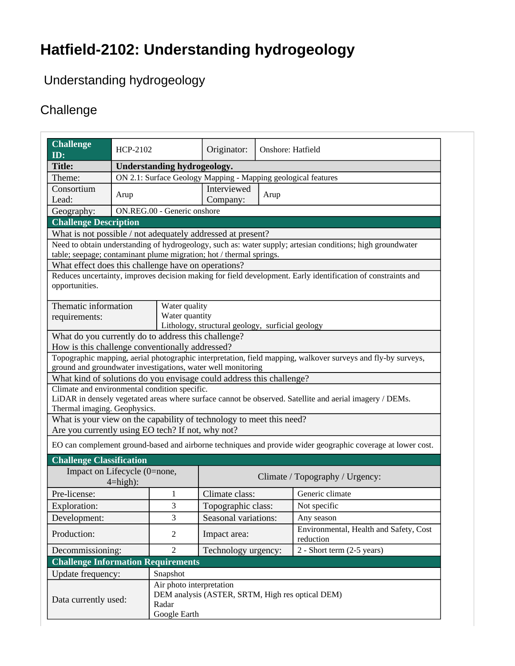## **Hatfield-2102: Understanding hydrogeology**

### Understanding hydrogeology

### **Challenge**

| <b>Challenge</b><br>ID:                                                                                                                                                   | HCP-2102                                                      |                          | Originator:                     | Onshore: Hatfield |                                                     |  |  |
|---------------------------------------------------------------------------------------------------------------------------------------------------------------------------|---------------------------------------------------------------|--------------------------|---------------------------------|-------------------|-----------------------------------------------------|--|--|
| <b>Title:</b>                                                                                                                                                             | <b>Understanding hydrogeology.</b>                            |                          |                                 |                   |                                                     |  |  |
| Theme:                                                                                                                                                                    | ON 2.1: Surface Geology Mapping - Mapping geological features |                          |                                 |                   |                                                     |  |  |
| Consortium                                                                                                                                                                | Arup                                                          |                          | Interviewed<br>Arup             |                   |                                                     |  |  |
| Lead:                                                                                                                                                                     |                                                               |                          | Company:                        |                   |                                                     |  |  |
| ON.REG.00 - Generic onshore<br>Geography:                                                                                                                                 |                                                               |                          |                                 |                   |                                                     |  |  |
| <b>Challenge Description</b>                                                                                                                                              |                                                               |                          |                                 |                   |                                                     |  |  |
| What is not possible / not adequately addressed at present?<br>Need to obtain understanding of hydrogeology, such as: water supply; artesian conditions; high groundwater |                                                               |                          |                                 |                   |                                                     |  |  |
| table; seepage; contaminant plume migration; hot / thermal springs.                                                                                                       |                                                               |                          |                                 |                   |                                                     |  |  |
| What effect does this challenge have on operations?                                                                                                                       |                                                               |                          |                                 |                   |                                                     |  |  |
| Reduces uncertainty, improves decision making for field development. Early identification of constraints and                                                              |                                                               |                          |                                 |                   |                                                     |  |  |
| opportunities.                                                                                                                                                            |                                                               |                          |                                 |                   |                                                     |  |  |
|                                                                                                                                                                           |                                                               |                          |                                 |                   |                                                     |  |  |
| Thematic information<br>Water quality                                                                                                                                     |                                                               |                          |                                 |                   |                                                     |  |  |
| requirements:                                                                                                                                                             |                                                               | Water quantity           |                                 |                   |                                                     |  |  |
| Lithology, structural geology, surficial geology                                                                                                                          |                                                               |                          |                                 |                   |                                                     |  |  |
| What do you currently do to address this challenge?                                                                                                                       |                                                               |                          |                                 |                   |                                                     |  |  |
| How is this challenge conventionally addressed?                                                                                                                           |                                                               |                          |                                 |                   |                                                     |  |  |
| Topographic mapping, aerial photographic interpretation, field mapping, walkover surveys and fly-by surveys,                                                              |                                                               |                          |                                 |                   |                                                     |  |  |
| ground and groundwater investigations, water well monitoring                                                                                                              |                                                               |                          |                                 |                   |                                                     |  |  |
| What kind of solutions do you envisage could address this challenge?                                                                                                      |                                                               |                          |                                 |                   |                                                     |  |  |
| Climate and environmental condition specific.                                                                                                                             |                                                               |                          |                                 |                   |                                                     |  |  |
| LiDAR in densely vegetated areas where surface cannot be observed. Satellite and aerial imagery / DEMs.                                                                   |                                                               |                          |                                 |                   |                                                     |  |  |
| Thermal imaging. Geophysics.                                                                                                                                              |                                                               |                          |                                 |                   |                                                     |  |  |
| What is your view on the capability of technology to meet this need?                                                                                                      |                                                               |                          |                                 |                   |                                                     |  |  |
| Are you currently using EO tech? If not, why not?                                                                                                                         |                                                               |                          |                                 |                   |                                                     |  |  |
| EO can complement ground-based and airborne techniques and provide wider geographic coverage at lower cost.                                                               |                                                               |                          |                                 |                   |                                                     |  |  |
|                                                                                                                                                                           |                                                               |                          |                                 |                   |                                                     |  |  |
| <b>Challenge Classification</b><br>Impact on Lifecycle (0=none,                                                                                                           |                                                               |                          |                                 |                   |                                                     |  |  |
| $4 = high$ :                                                                                                                                                              |                                                               |                          | Climate / Topography / Urgency: |                   |                                                     |  |  |
| Pre-license:                                                                                                                                                              |                                                               | 1                        | Climate class:                  |                   | Generic climate                                     |  |  |
|                                                                                                                                                                           |                                                               | 3                        |                                 |                   | Not specific                                        |  |  |
| Exploration:                                                                                                                                                              |                                                               |                          | Topographic class:              |                   |                                                     |  |  |
| Development:                                                                                                                                                              |                                                               | 3                        | Seasonal variations:            |                   | Any season                                          |  |  |
| Production:                                                                                                                                                               |                                                               | $\overline{2}$           | Impact area:                    |                   | Environmental, Health and Safety, Cost<br>reduction |  |  |
| Decommissioning:                                                                                                                                                          |                                                               | $\overline{2}$           | Technology urgency:             |                   | $2 - Short term (2-5 years)$                        |  |  |
|                                                                                                                                                                           | <b>Challenge Information Requirements</b>                     |                          |                                 |                   |                                                     |  |  |
| Update frequency:                                                                                                                                                         |                                                               | Snapshot                 |                                 |                   |                                                     |  |  |
|                                                                                                                                                                           |                                                               | Air photo interpretation |                                 |                   |                                                     |  |  |
|                                                                                                                                                                           | DEM analysis (ASTER, SRTM, High res optical DEM)<br>Radar     |                          |                                 |                   |                                                     |  |  |
| Data currently used:                                                                                                                                                      |                                                               |                          |                                 |                   |                                                     |  |  |
|                                                                                                                                                                           |                                                               | Google Earth             |                                 |                   |                                                     |  |  |